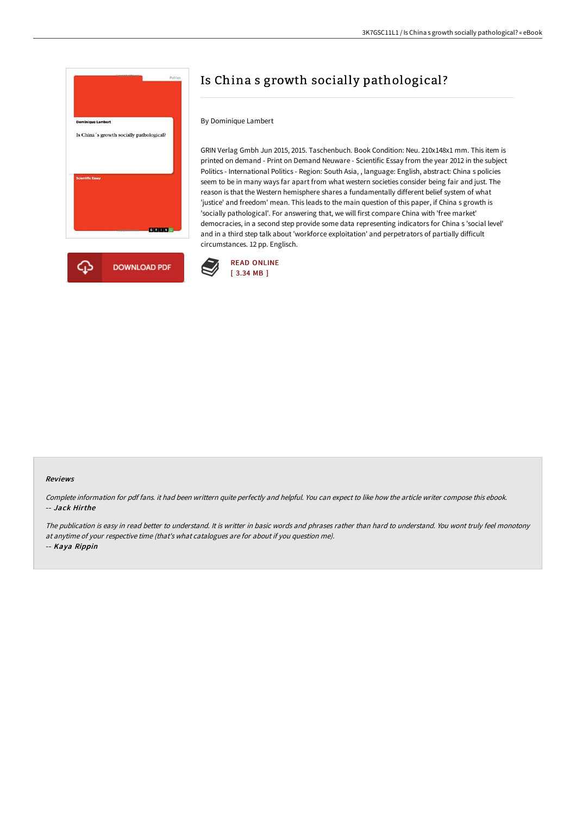

# Is China s growth socially pathological?

## By Dominique Lambert

GRIN Verlag Gmbh Jun 2015, 2015. Taschenbuch. Book Condition: Neu. 210x148x1 mm. This item is printed on demand - Print on Demand Neuware - Scientific Essay from the year 2012 in the subject Politics - International Politics - Region: South Asia, , language: English, abstract: China s policies seem to be in many ways far apart from what western societies consider being fair and just. The reason is that the Western hemisphere shares a fundamentally different belief system of what 'justice' and freedom' mean. This leads to the main question of this paper, if China s growth is 'socially pathological'. For answering that, we will first compare China with 'free market' democracies, in a second step provide some data representing indicators for China s 'social level' and in a third step talk about 'workforce exploitation' and perpetrators of partially difficult circumstances. 12 pp. Englisch.



#### Reviews

Complete information for pdf fans. it had been writtern quite perfectly and helpful. You can expect to like how the article writer compose this ebook. -- Jack Hirthe

The publication is easy in read better to understand. It is writter in basic words and phrases rather than hard to understand. You wont truly feel monotony at anytime of your respective time (that's what catalogues are for about if you question me). -- Kaya Rippin